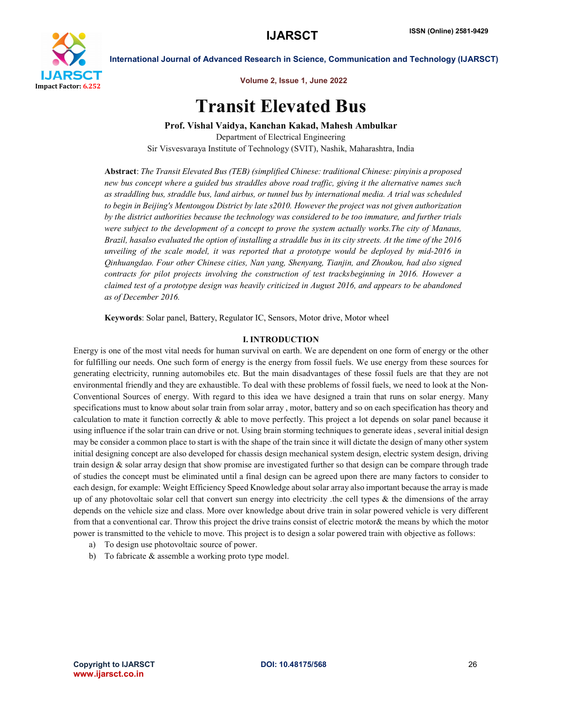

International Journal of Advanced Research in Science, Communication and Technology (IJARSCT)

Volume 2, Issue 1, June 2022

# Transit Elevated Bus

Prof. Vishal Vaidya, Kanchan Kakad, Mahesh Ambulkar

Department of Electrical Engineering Sir Visvesvaraya Institute of Technology (SVIT), Nashik, Maharashtra, India

Abstract: *The Transit Elevated Bus (TEB) (simplified Chinese: traditional Chinese: pinyinis a proposed new bus concept where a guided bus straddles above road traffic, giving it the alternative names such as straddling bus, straddle bus, land airbus, or tunnel bus by international media. A trial was scheduled to begin in Beijing's Mentougou District by late s2010. However the project was not given authorization by the district authorities because the technology was considered to be too immature, and further trials were subject to the development of a concept to prove the system actually works.The city of Manaus, Brazil, hasalso evaluated the option of installing a straddle bus in its city streets. At the time of the 2016 unveiling of the scale model, it was reported that a prototype would be deployed by mid-2016 in Qinhuangdao. Four other Chinese cities, Nan yang, Shenyang, Tianjin, and Zhoukou, had also signed contracts for pilot projects involving the construction of test tracksbeginning in 2016. However a claimed test of a prototype design was heavily criticized in August 2016, and appears to be abandoned as of December 2016.*

Keywords: Solar panel, Battery, Regulator IC, Sensors, Motor drive, Motor wheel

## I. INTRODUCTION

Energy is one of the most vital needs for human survival on earth. We are dependent on one form of energy or the other for fulfilling our needs. One such form of energy is the energy from fossil fuels. We use energy from these sources for generating electricity, running automobiles etc. But the main disadvantages of these fossil fuels are that they are not environmental friendly and they are exhaustible. To deal with these problems of fossil fuels, we need to look at the Non-Conventional Sources of energy. With regard to this idea we have designed a train that runs on solar energy. Many specifications must to know about solar train from solar array , motor, battery and so on each specification has theory and calculation to mate it function correctly  $\&$  able to move perfectly. This project a lot depends on solar panel because it using influence if the solar train can drive or not. Using brain storming techniques to generate ideas , several initial design may be consider a common place to start is with the shape of the train since it will dictate the design of many other system initial designing concept are also developed for chassis design mechanical system design, electric system design, driving train design & solar array design that show promise are investigated further so that design can be compare through trade of studies the concept must be eliminated until a final design can be agreed upon there are many factors to consider to each design, for example: Weight Efficiency Speed Knowledge about solar array also important because the array is made up of any photovoltaic solar cell that convert sun energy into electricity .the cell types & the dimensions of the array depends on the vehicle size and class. More over knowledge about drive train in solar powered vehicle is very different from that a conventional car. Throw this project the drive trains consist of electric motor& the means by which the motor power is transmitted to the vehicle to move. This project is to design a solar powered train with objective as follows:

- a) To design use photovoltaic source of power.
- b) To fabricate & assemble a working proto type model.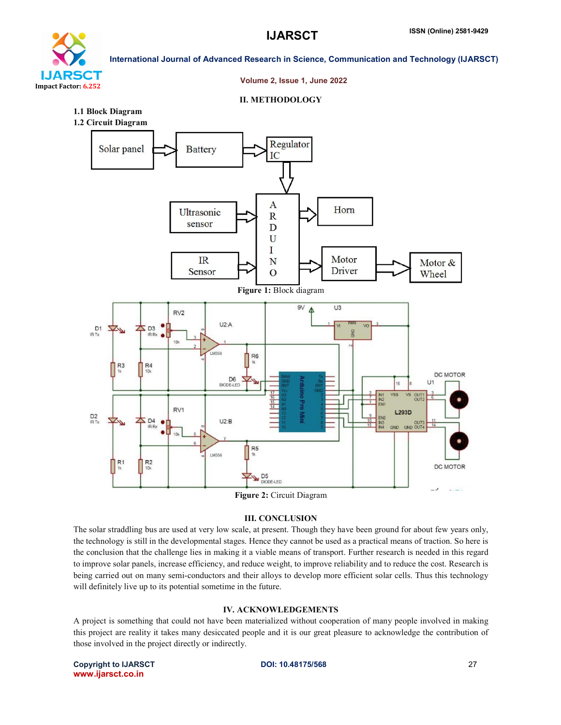

# International Journal of Advanced Research in Science, Communication and Technology (IJARSCT)

#### Volume 2, Issue 1, June 2022

### II. METHODOLOGY

- 1.1 Block Diagram
- 1.2 Circuit Diagram



# Figure 2: Circuit Diagram

# III. CONCLUSION

The solar straddling bus are used at very low scale, at present. Though they have been ground for about few years only, the technology is still in the developmental stages. Hence they cannot be used as a practical means of traction. So here is the conclusion that the challenge lies in making it a viable means of transport. Further research is needed in this regard to improve solar panels, increase efficiency, and reduce weight, to improve reliability and to reduce the cost. Research is being carried out on many semi-conductors and their alloys to develop more efficient solar cells. Thus this technology will definitely live up to its potential sometime in the future.

# IV. ACKNOWLEDGEMENTS

A project is something that could not have been materialized without cooperation of many people involved in making this project are reality it takes many desiccated people and it is our great pleasure to acknowledge the contribution of those involved in the project directly or indirectly.

Copyright to IJARSCT **DOI: 10.48175/568** 27 www.ijarsct.co.in